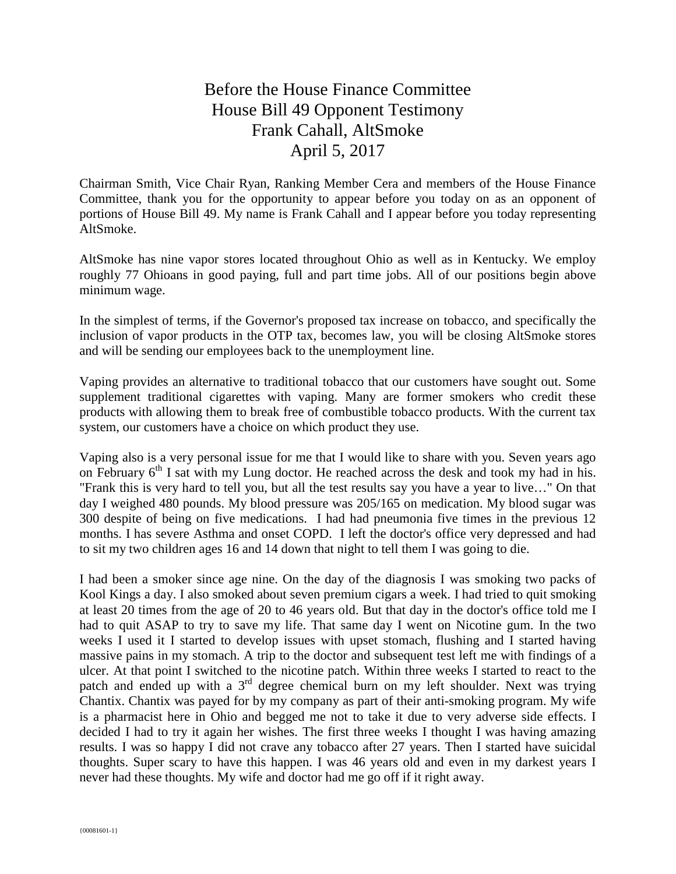## Before the House Finance Committee House Bill 49 Opponent Testimony Frank Cahall, AltSmoke April 5, 2017

Chairman Smith, Vice Chair Ryan, Ranking Member Cera and members of the House Finance Committee, thank you for the opportunity to appear before you today on as an opponent of portions of House Bill 49. My name is Frank Cahall and I appear before you today representing AltSmoke.

AltSmoke has nine vapor stores located throughout Ohio as well as in Kentucky. We employ roughly 77 Ohioans in good paying, full and part time jobs. All of our positions begin above minimum wage.

In the simplest of terms, if the Governor's proposed tax increase on tobacco, and specifically the inclusion of vapor products in the OTP tax, becomes law, you will be closing AltSmoke stores and will be sending our employees back to the unemployment line.

Vaping provides an alternative to traditional tobacco that our customers have sought out. Some supplement traditional cigarettes with vaping. Many are former smokers who credit these products with allowing them to break free of combustible tobacco products. With the current tax system, our customers have a choice on which product they use.

Vaping also is a very personal issue for me that I would like to share with you. Seven years ago on February  $6<sup>th</sup>$  I sat with my Lung doctor. He reached across the desk and took my had in his. "Frank this is very hard to tell you, but all the test results say you have a year to live…" On that day I weighed 480 pounds. My blood pressure was 205/165 on medication. My blood sugar was 300 despite of being on five medications. I had had pneumonia five times in the previous 12 months. I has severe Asthma and onset COPD. I left the doctor's office very depressed and had to sit my two children ages 16 and 14 down that night to tell them I was going to die.

I had been a smoker since age nine. On the day of the diagnosis I was smoking two packs of Kool Kings a day. I also smoked about seven premium cigars a week. I had tried to quit smoking at least 20 times from the age of 20 to 46 years old. But that day in the doctor's office told me I had to quit ASAP to try to save my life. That same day I went on Nicotine gum. In the two weeks I used it I started to develop issues with upset stomach, flushing and I started having massive pains in my stomach. A trip to the doctor and subsequent test left me with findings of a ulcer. At that point I switched to the nicotine patch. Within three weeks I started to react to the patch and ended up with a  $3<sup>rd</sup>$  degree chemical burn on my left shoulder. Next was trying Chantix. Chantix was payed for by my company as part of their anti-smoking program. My wife is a pharmacist here in Ohio and begged me not to take it due to very adverse side effects. I decided I had to try it again her wishes. The first three weeks I thought I was having amazing results. I was so happy I did not crave any tobacco after 27 years. Then I started have suicidal thoughts. Super scary to have this happen. I was 46 years old and even in my darkest years I never had these thoughts. My wife and doctor had me go off if it right away.